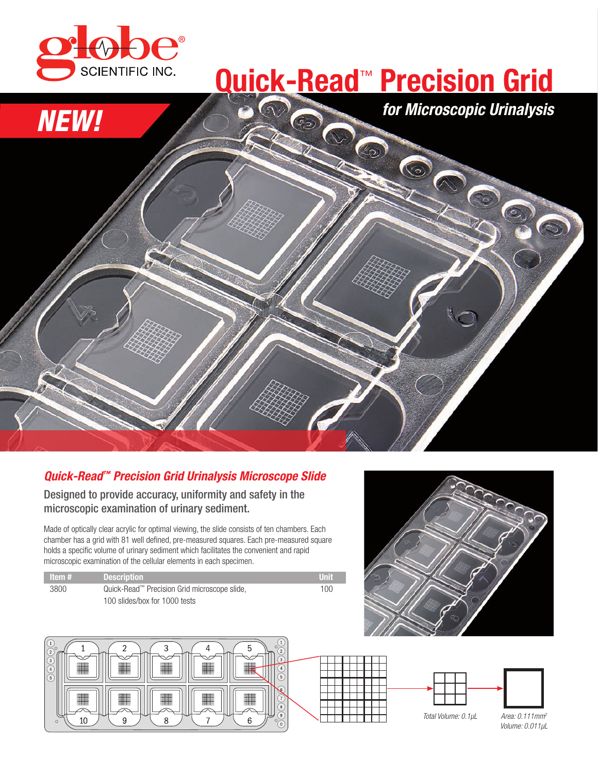

### **Quick-Read**™ **Precision Grid**

*for Microscopic Urinalysis*

# *NEW!* CONSON

#### *Quick-Read™ Precision Grid Urinalysis Microscope Slide*

Designed to provide accuracy, uniformity and safety in the microscopic examination of urinary sediment.

Made of optically clear acrylic for optimal viewing, the slide consists of ten chambers. Each chamber has a grid with 81 well defined, pre-measured squares. Each pre-measured square holds a specific volume of urinary sediment which facilitates the convenient and rapid microscopic examination of the cellular elements in each specimen.